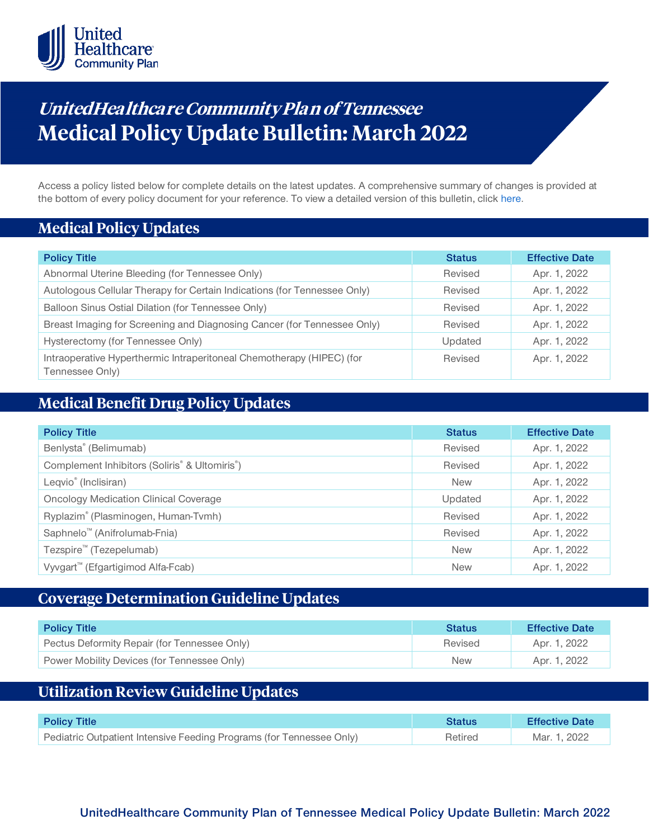

# **UnitedHealthcare Community Plan of Tennessee Medical Policy Update Bulletin: March 2022**

Access a policy listed below for complete details on the latest updates. A comprehensive summary of changes is provided at the bottom of every policy document for your reference. To view a detailed version of this bulletin, clic[k here.](https://www.uhcprovider.com/content/dam/provider/docs/public/policies/mpub-archives/comm-plan/tn/community-plan-tn-medical-policy-update-bulletin-march-2022-full.pdf)

### **Medical Policy Updates**

| <b>Policy Title</b>                                                                      | <b>Status</b> | <b>Effective Date</b> |
|------------------------------------------------------------------------------------------|---------------|-----------------------|
| Abnormal Uterine Bleeding (for Tennessee Only)                                           | Revised       | Apr. 1, 2022          |
| Autologous Cellular Therapy for Certain Indications (for Tennessee Only)                 | Revised       | Apr. 1, 2022          |
| Balloon Sinus Ostial Dilation (for Tennessee Only)                                       | Revised       | Apr. 1, 2022          |
| Breast Imaging for Screening and Diagnosing Cancer (for Tennessee Only)                  | Revised       | Apr. 1, 2022          |
| Hysterectomy (for Tennessee Only)                                                        | Updated       | Apr. 1, 2022          |
| Intraoperative Hyperthermic Intraperitoneal Chemotherapy (HIPEC) (for<br>Tennessee Only) | Revised       | Apr. 1, 2022          |

# **Medical Benefit Drug Policy Updates**

| <b>Policy Title</b>                                                    | <b>Status</b> | <b>Effective Date</b> |
|------------------------------------------------------------------------|---------------|-----------------------|
| Benlysta® (Belimumab)                                                  | Revised       | Apr. 1, 2022          |
| Complement Inhibitors (Soliris <sup>®</sup> & Ultomiris <sup>®</sup> ) | Revised       | Apr. 1, 2022          |
| Leqvio <sup>®</sup> (Inclisiran)                                       | <b>New</b>    | Apr. 1, 2022          |
| <b>Oncology Medication Clinical Coverage</b>                           | Updated       | Apr. 1, 2022          |
| Ryplazim® (Plasminogen, Human-Tvmh)                                    | Revised       | Apr. 1, 2022          |
| Saphnelo <sup>™</sup> (Anifrolumab-Fnia)                               | Revised       | Apr. 1, 2022          |
| Tezspire <sup>™</sup> (Tezepelumab)                                    | <b>New</b>    | Apr. 1, 2022          |
| Vyvgart <sup>™</sup> (Efgartigimod Alfa-Fcab)                          | <b>New</b>    | Apr. 1, 2022          |

## **Coverage Determination Guideline Updates**

| <b>Policy Title</b>                          | <b>Status</b> | <b>Effective Date</b> |
|----------------------------------------------|---------------|-----------------------|
| Pectus Deformity Repair (for Tennessee Only) | Revised       | Apr. 1, 2022          |
| Power Mobility Devices (for Tennessee Only)  | <b>New</b>    | Apr. 1, 2022          |

# **Utilization Review Guideline Updates**

| <b>Policy Title</b>                                                  | <b>Status</b> | <b>Effective Date</b> |  |
|----------------------------------------------------------------------|---------------|-----------------------|--|
| Pediatric Outpatient Intensive Feeding Programs (for Tennessee Only) | Retired       | Mar. 1. 2022          |  |

### **UnitedHealthcare Community Plan of Tennessee Medical Policy Update Bulletin: March 2022**